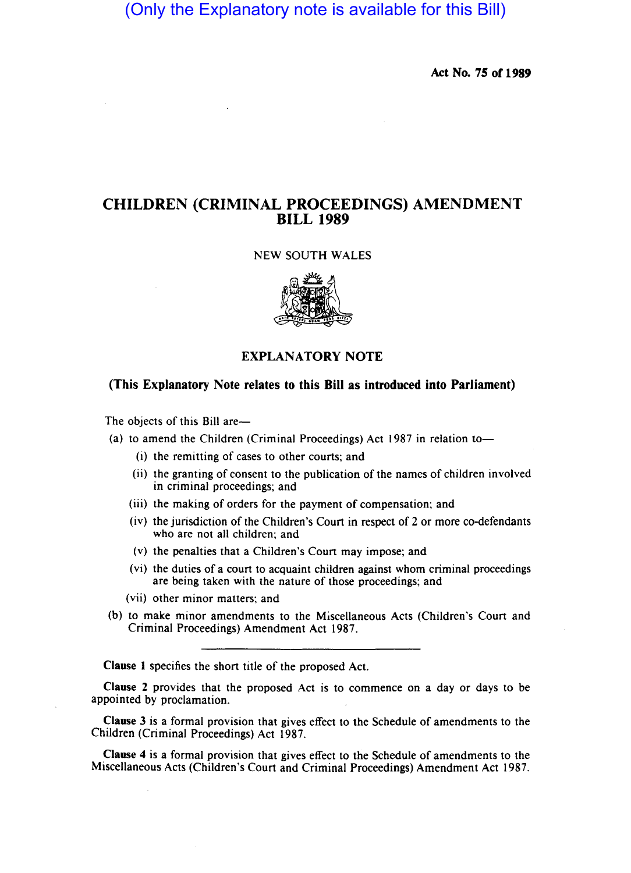(Only the Explanatory note is available for this Bill)

Act No. 75 of 1989

# CHILDREN (CRIMINAL PROCEEDINGS) AMENDMENT BILL 1989

## NEW SOUTH WALES



# EXPLANATORY NOTE

# (This Explanatory Note relates to this Bill as introduced into Parliament)

The objects of this Bill are-

(a) to amend the Children (Criminal Proceedings) Act  $1987$  in relation to-

- (i) the remitting of cases to other courts; and
- (ii) the granting of consent to the publication of the names of children involved in criminal proceedings; and
- (iii) the making of orders for the payment of compensation; and
- (iv) the jurisdiction of the Children's Court in respect of 2 or more co-defendants who are not all children; and
- (v) the penalties that a Children's Court may impose; and
- (vi) the duties of a court to acquaint children against whom criminal proceedings are being taken with the nature of those proceedings; and
- (vii) other minor matters; and
- (b) to make minor amendments to the Miscellaneous Acts (Children's Court and Criminal Proceedings) Amendment Act 1987.

Clause 1 specifies the short title of the proposed Act.

Clause 2 provides that the proposed Act is to commence on a day or days to be appointed by proclamation.

Clause 3 is a formal provision that gives effect to the Schedule of amendments to the Children (Criminal Proceedings) Act 1987.

Clause 4 is a formal provision that gives effect to the Schedule of amendments to the Miscellaneous Acts (Children's Court and Criminal Proceedings) Amendment Act 1987.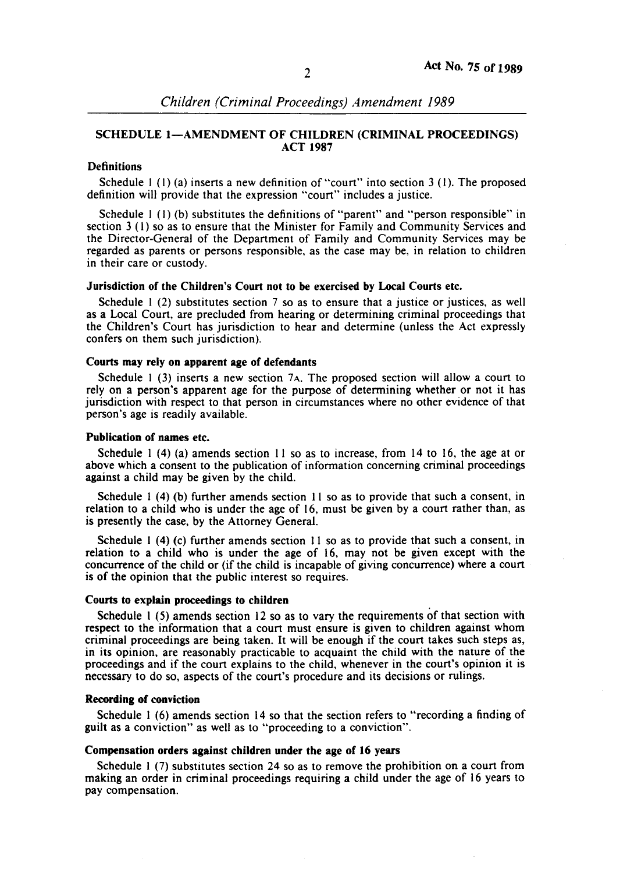## SCHEDULE I-AMENDMENT OF CHILDREN (CRIMINAL PROCEEDINGS) ACT 1987

## **Definitions**

Schedule  $1(1)(a)$  inserts a new definition of "court" into section 3 (1). The proposed definition will provide that the expression "court" includes a justice.

Schedule I (I) (b) substitutes the definitions of "parent" and "person responsible" in section 3 (I) so as to ensure that the Minister for Family and Community Services and the Director-General of the Department of Family and Community Services may be regarded as parents or persons responsible. as the case may be, in relation to children in their care or custody.

#### Jurisdiction of the Children's Court not to be exercised by Local Courts etc.

Schedule 1 (2) substitutes section 7 so as to ensure that a justice or justices, as well as a Local Court, are precluded from hearing or determining criminal proceedings that the Children's Court has jurisdiction to hear and determine (unless the Act expressly confers on them such jurisdiction).

#### Courts may rely on apparent age of defendants

Schedule  $1$  (3) inserts a new section  $7A$ . The proposed section will allow a court to rely on a person's apparent age for the purpose of determining whether or not it has jurisdiction with respect to that person in circumstances where no other evidence of that person's age is readily available.

### Publication of names etc.

Schedule I (4) (a) amends section II so as to increase, from 14 to 16, the age at or above which a consent to the publication of information concerning criminal proceedings against a child may be given by the child.

Schedule I (4) (b) further amends section II so as to provide that such a consent, in relation to a child who is under the age of 16, must be given by a court rather than, as is presently the case, by the Attorney General.

Schedule  $1$  (4) (c) further amends section 11 so as to provide that such a consent, in relation to a child who is under the age of 16, may not be given except with the concurrence of the child or (if the child is incapable of giving concurrence) where a court is of the opinion that the public interest so requires.

### Courts to explain proceedings to children

Schedule I (5) amends section 12 so as to vary the requirements of that section with respect to the information that a court must ensure is given to children against whom criminal proceedings are being taken. It will be enough if the court takes such steps as, in its opinion, are reasonably practicable to acquaint the child with the nature of the proceedings and if the court explains to the child, whenever in the court's opinion it is necessary to do so, aspects of the court's procedure and its decisions or rulings.

## Recording of conviction

Schedule I (6) amends section 14 so that the section refers to "recording a finding of guilt as a conviction" as well as to "proceeding to a conviction".

#### Compensation orders against children under the age of 16 years

Schedule 1 (7) substitutes section 24 so as to remove the prohibition on a court from making an order in criminal proceedings requiring a child under the age of 16 years to pay compensation.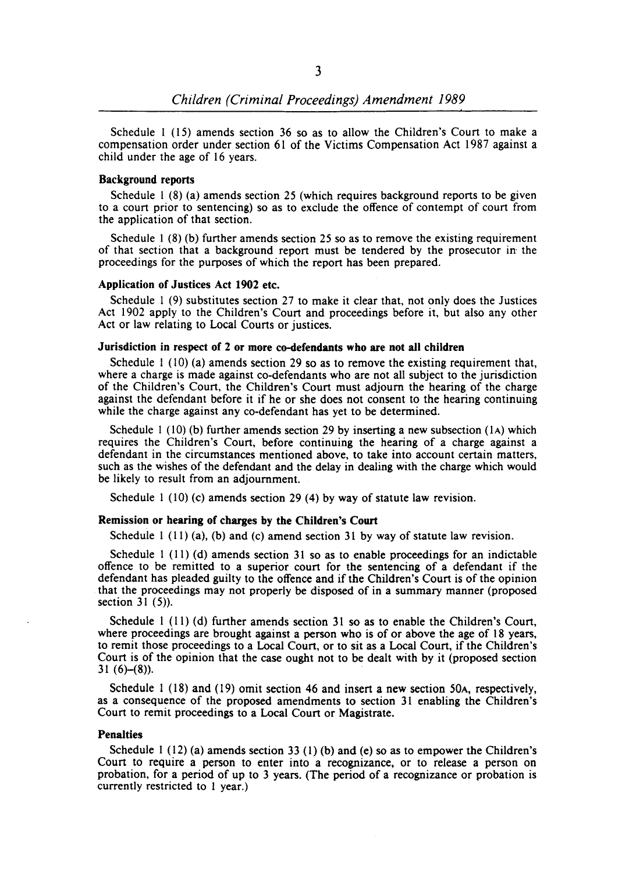Schedule I (15) amends section 36 so as to allow the Children's Court to make a compensation order under section 61 of the Victims Compensation Act 1987 against a child under the age of 16 years.

## Background reports

Schedule  $1(8)$  (a) amends section 25 (which requires background reports to be given to a court prior to sentencing) so as to exclude the offence of contempt of court from the application of that section.

Schedule 1 (8) (b) further amends section 25 so as to remove the existing requirement of that section that a background report must be tendered by the prosecutor in the proceedings for the purposes of which the report has been prepared.

#### Application of Justices Act 1902 etc.

Schedule 1 (9) substitutes section 27 to make it clear that, not only does the Justices Act 1902 apply to the Children's Court and proceedings before it, but also any other Act or law relating to Local Courts or justices.

# Jurisdiction in respect of 2 or more co-defendants who are not all children

Schedule 1 (10) (a) amends section 29 so as to remove the existing requirement that, where a charge is made against co-defendants who are not all subject to the jurisdiction of the Children's Court, the Children's Court must adjourn the hearing of the charge against the defendant before it if he or she does not consent to the hearing continuing while the charge against any co-defendant has yet to be determined.

Schedule 1 (10) (b) further amends section 29 by inserting a new subsection  $(1)$  which requires the Children's Court, before continuing the hearing of a charge against a defendant in the circumstances mentioned above, to take into account certain matters, such as the wishes of the defendant and the delay in dealing with the charge which would be likely to result from an adjournment.

Schedule I (10) (c) amends section 29 (4) by way of statute law revision.

# Remission or hearing of charges by the Children's Court

Schedule 1 (11) (a), (b) and (c) amend section 31 by way of statute law revision.

Schedule 1 (11) (d) amends section 31 so as to enable proceedings for an indictable offence to be remitted to a superior court for the sentencing of a defendant if the defendant has pleaded guilty to the offence and if the Children's Court is of the opinion that the proceedings may not properly be disposed of in a summary manner (proposed section  $31(5)$ ).

Schedule I (11) (d) further amends section 31 so as to enable the Children's Court, where proceedings are brought against a person who is of or above the age of 18 years, to remit those proceedings to a Local Court, or to sit as a Local Court, if the Children's Court is of the opinion that the case ought not to be dealt with by it (proposed section 31 $(6)-(8)$ ).

Schedule I (18) and (19) omit section 46 and insert a new section 50A, respectively, as a consequence of the proposed amendments to section 31 enabling the Children's Court to remit proceedings to a Local Court or Magistrate.

## Penalties

Schedule  $1(12)(a)$  amends section 33 (1) (b) and (e) so as to empower the Children's Court to require a person to enter into a recognizance, or to release a person on probation, for a period of up to 3 years. (The period of a recognizance or probation is currently restricted to I year.)